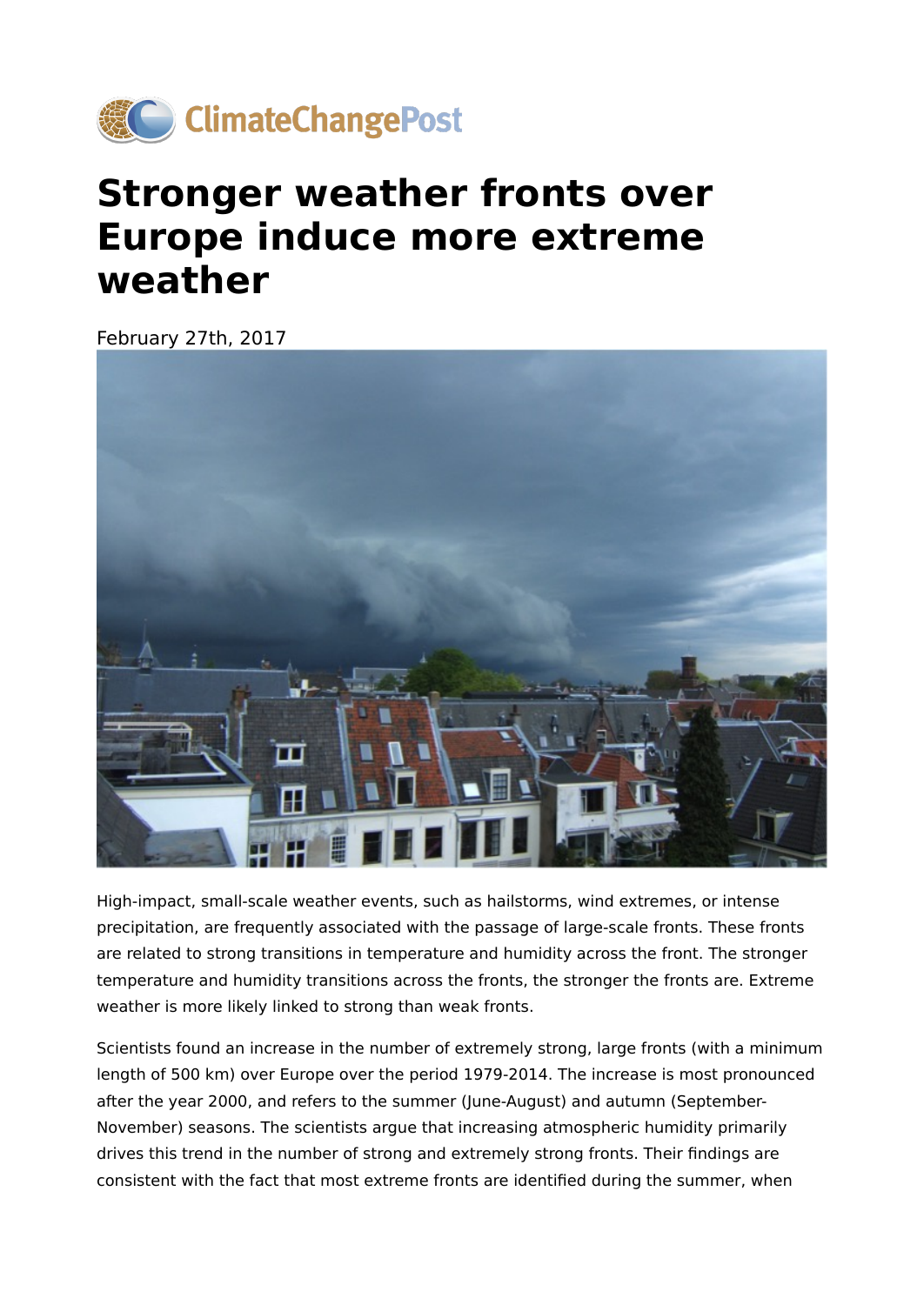

## **Stronger weather fronts over Europe induce more extreme weather**

February 27th, 2017



High-impact, small-scale weather events, such as hailstorms, wind extremes, or intense precipitation, are frequently associated with the passage of large-scale fronts. These fronts are related to strong transitions in temperature and humidity across the front. The stronger temperature and humidity transitions across the fronts, the stronger the fronts are. Extreme weather is more likely linked to strong than weak fronts.

Scientists found an increase in the number of extremely strong, large fronts (with a minimum length of 500 km) over Europe over the period 1979-2014. The increase is most pronounced after the year 2000, and refers to the summer (June-August) and autumn (September-November) seasons. The scientists argue that increasing atmospheric humidity primarily drives this trend in the number of strong and extremely strong fronts. Their findings are consistent with the fact that most extreme fronts are identified during the summer, when